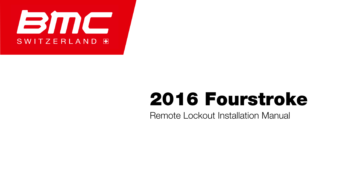

# 2016 Fourstroke

Remote Lockout Installation Manual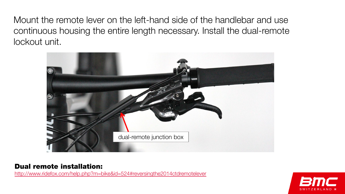Mount the remote lever on the left-hand side of the handlebar and use continuous housing the entire length necessary. Install the dual-remote lockout unit.



#### Dual remote installation:

<http://www.ridefox.com/help.php?m=bike&id=524#reversingthe2014ctdremotelever>

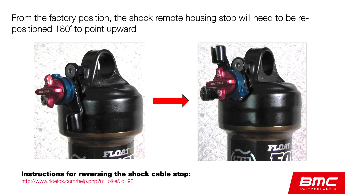From the factory position, the shock remote housing stop will need to be repositioned 180˚ to point upward





#### Instructions for reversing the shock cable stop:

<http://www.ridefox.com/help.php?m=bike&id=93>

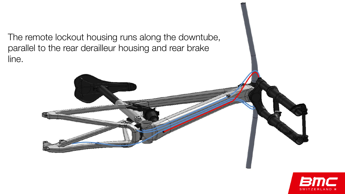The remote lockout housing runs along the downtube, parallel to the rear derailleur housing and rear brake line.



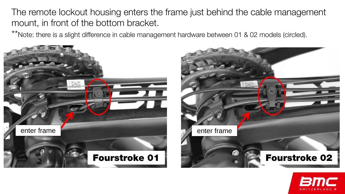The remote lockout housing enters the frame just behind the cable management mount, in front of the bottom bracket.

\*\*Note: there is a slight difference in cable management hardware between 01 & 02 models (circled).





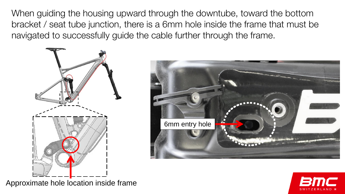When guiding the housing upward through the downtube, toward the bottom bracket / seat tube junction, there is a 6mm hole inside the frame that must be navigated to successfully guide the cable further through the frame.







Approximate hole location inside frame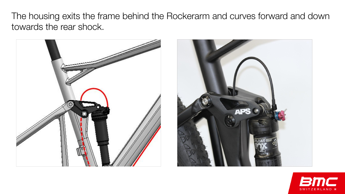The housing exits the frame behind the Rockerarm and curves forward and down towards the rear shock.